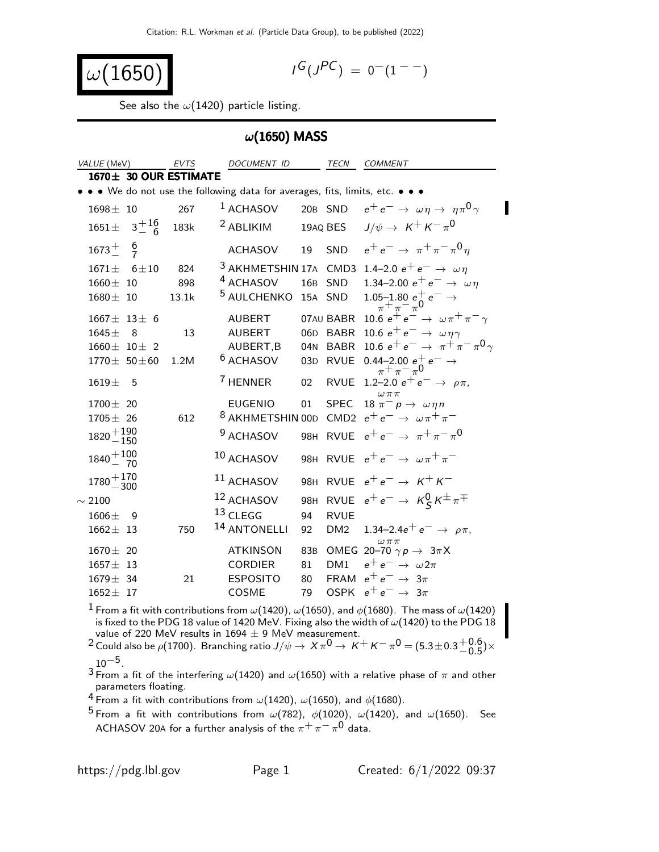$$
\omega(1650)\qquad \qquad \blacksquare
$$

$$
I^G(J^{PC}) = 0^-(1^{--})
$$

See also the  $\omega(1420)$  particle listing.

#### $\omega$ (1650) MASS

| VALUE (MeV)                  | <b>EVTS</b> | <b>DOCUMENT ID</b>                                                            |                 | TECN            | <b>COMMENT</b>                                                            |
|------------------------------|-------------|-------------------------------------------------------------------------------|-----------------|-----------------|---------------------------------------------------------------------------|
| $1670 \pm 30$ OUR ESTIMATE   |             |                                                                               |                 |                 |                                                                           |
|                              |             | • • • We do not use the following data for averages, fits, limits, etc. • • • |                 |                 |                                                                           |
| $1698 \pm 10$                | 267         | $1$ ACHASOV                                                                   |                 |                 | 20B SND $e^+e^- \rightarrow \omega \eta \rightarrow \eta \pi^0 \gamma$    |
| $3^{+16}_{-6}$<br>$1651 \pm$ | 183k        | <sup>2</sup> ABLIKIM                                                          |                 | 19AQ BES        | $J/\psi \rightarrow K^+ K^- \pi^0$                                        |
| $\frac{6}{7}$<br>$1673^{+}$  |             | <b>ACHASOV</b>                                                                | 19              | SND             | $e^+e^- \to \pi^+\pi^-\pi^0\eta$                                          |
| $6 + 10$<br>$1671 +$         | 824         |                                                                               |                 |                 | <sup>3</sup> AKHMETSHIN 17A CMD3 1.4–2.0 $e^+e^- \rightarrow \omega \eta$ |
| $1660 \pm 10$                | 898         | <sup>4</sup> ACHASOV                                                          | 16B             | SND             | 1.34–2.00 $e^+e^- \rightarrow \omega \eta$                                |
| $1680 + 10$                  | 13.1k       | <sup>5</sup> AULCHENKO                                                        |                 | 15A SND         | $1.05 - 1.80 e^+ e^- \rightarrow$<br>$\pi^+ \pi^- \pi^0$                  |
| $1667 \pm 13 \pm 6$          |             | AUBERT                                                                        |                 | 07AU BABR       | 10.6 $e^+e^- \rightarrow \omega \pi^+ \pi^- \gamma$                       |
| $1645 \pm$<br>- 8            | 13          | <b>AUBERT</b>                                                                 | 06 <sub>D</sub> | <b>BABR</b>     | 10.6 $e^+e^- \rightarrow \omega \eta \gamma$                              |
| $1660 \pm 10 \pm 2$          |             | AUBERT, B                                                                     | 04 <sub>N</sub> | BABR            | 10.6 $e^+e^- \rightarrow \pi^+\pi^-\pi^0\gamma$                           |
| $1770 \pm 50 \pm 60$         | 1.2M        | <sup>6</sup> ACHASOV                                                          | 03D             | <b>RVUE</b>     | $0.44 - 2.00 e^+ e^- \rightarrow$<br>$\pi^+ \pi^- \pi^0$                  |
| $1619 +$<br>5                |             | <sup>7</sup> HENNER                                                           | 02              | <b>RVUE</b>     | 1.2-2.0 $e^+e^- \rightarrow \rho \pi$ ,<br>$\omega \pi \pi$               |
| $1700 \pm 20$                |             | <b>EUGENIO</b>                                                                | 01              | <b>SPEC</b>     | $18 \pi^- p \rightarrow \omega \eta n$                                    |
| $1705 \pm 26$                | 612         |                                                                               |                 |                 | <sup>8</sup> AKHMETSHIN 00D CMD2 $e^+e^- \rightarrow \omega \pi^+ \pi^-$  |
| $1820 + 190$<br>$-150$       |             | <sup>9</sup> ACHASOV                                                          |                 |                 | 98H RVUE $e^+e^- \to \pi^+\pi^-\pi^0$                                     |
| $1840 + 100 \over 70$        |             | 10 ACHASOV                                                                    |                 |                 | 98H RVUE $e^+e^- \rightarrow \omega \pi^+ \pi^-$                          |
| $1780 + 170$<br>$-300$       |             | <sup>11</sup> ACHASOV                                                         |                 |                 | 98H RVUE $e^+e^- \rightarrow K^+K^-$                                      |
| $\sim 2100$                  |             | 12 ACHASOV                                                                    |                 |                 | 98H RVUE $e^+e^- \rightarrow K_S^0 K^{\pm} \pi^{\mp}$                     |
| $1606 \pm$<br>9              |             | 13 CLEGG                                                                      | 94              | <b>RVUE</b>     |                                                                           |
| $1662 \pm 13$                | 750         | <sup>14</sup> ANTONELLI                                                       | 92              | DM <sub>2</sub> | 1.34–2.4 $e^+e^- \rightarrow \rho \pi$ ,                                  |
| $1670 \pm 20$                |             | <b>ATKINSON</b>                                                               |                 |                 | $\omega\,\pi\,\pi$<br>83B OMEG 20-70 $\gamma p \rightarrow 3\pi X$        |
| $1657 \pm 13$                |             | <b>CORDIER</b>                                                                | 81              | DM1             | $e^+e^- \rightarrow \omega 2\pi$                                          |
| $1679 \pm 34$                | 21          | <b>ESPOSITO</b>                                                               | 80              |                 | FRAM $e^+e^- \rightarrow 3\pi$                                            |
| $1652 \pm 17$                |             | COSME                                                                         | 79              |                 | OSPK $e^+e^- \rightarrow 3\pi$                                            |

 $^1$  From a fit with contributions from  $\omega(1420)$ ,  $\omega(1650)$ , and  $\phi(1680)$ . The mass of  $\omega(1420)$ is fixed to the PDG 18 value of 1420 MeV. Fixing also the width of  $\omega(1420)$  to the PDG 18 value of 220 MeV results in 1694  $\pm$  9 MeV measurement.

 $^2$  Could also be  $\rho(1700)$ . Branching ratio  $J/\psi\to\overline{X}\pi^0\to\overline{K}^+K^-\pi^0=(5.3\pm0.3\frac{+0.6}{-0.5})$  $^{+0.0}_{-0.5}$ )×  $10^{-5}$ .

 $^3$  From a fit of the interfering  $\omega(1420)$  and  $\omega(1650)$  with a relative phase of  $\pi$  and other parameters floating.

4 From a fit with contributions from  $\omega(1420)$ ,  $\omega(1650)$ , and  $\phi(1680)$ .

<sup>5</sup> From a fit with contributions from  $\omega(782)$ ,  $\phi(1020)$ ,  $\omega(1420)$ , and  $\omega(1650)$ . See ACHASOV 20A for a further analysis of the  $\pi^+\pi^-\pi^0$  data.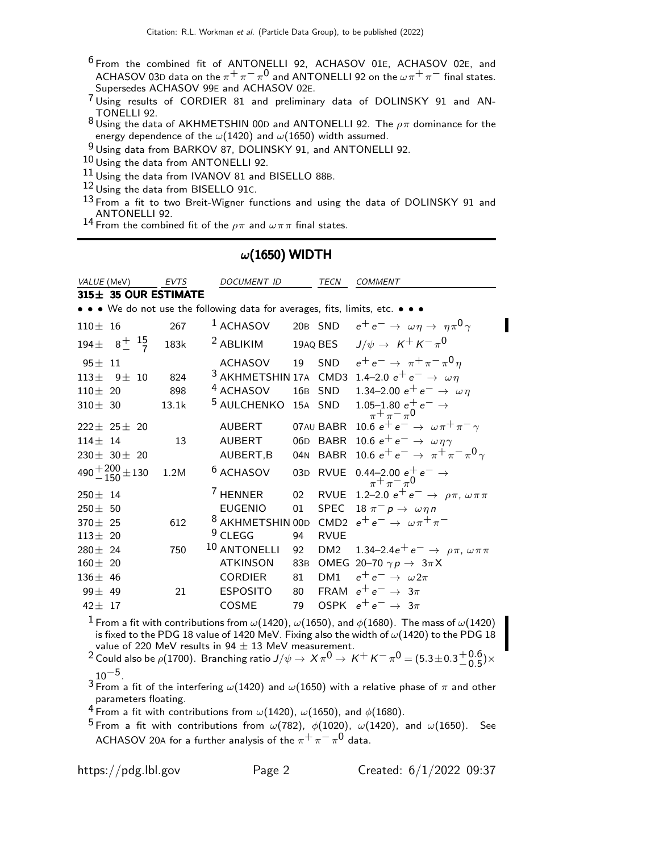- <sup>6</sup> From the combined fit of ANTONELLI 92, ACHASOV 01E, ACHASOV 02E, and ACHASOV 03D data on the  $\pi^+\pi^-\pi^0$  and ANTONELLI 92 on the  $\omega\pi^+\pi^-$  final states. Supersedes ACHASOV 99E and ACHASOV 02E.
- 7 Using results of CORDIER 81 and preliminary data of DOLINSKY 91 and AN-TONELLI 92.
- $8$  Using the data of AKHMETSHIN 00D and ANTONELLI 92. The  $\rho\pi$  dominance for the energy dependence of the  $\omega(1420)$  and  $\omega(1650)$  width assumed.

9 Using data from BARKOV 87, DOLINSKY 91, and ANTONELLI 92.

- 10 Using the data from ANTONELLI 92.
- $11$  Using the data from IVANOV 81 and BISELLO 88B.

12 Using the data from BISELLO 91C.

 $13$  From a fit to two Breit-Wigner functions and using the data of DOLINSKY 91 and ANTONELLI 92.

14 From the combined fit of the  $\rho\pi$  and  $\omega\pi\pi$  final states.

#### $\omega$ (1650) WIDTH

| VALUE (MeV)                                                         | <b>EVTS</b> | DOCUMENT ID                                                                   |                 | TECN            | <b>COMMENT</b>                                                            |
|---------------------------------------------------------------------|-------------|-------------------------------------------------------------------------------|-----------------|-----------------|---------------------------------------------------------------------------|
| 315± 35 OUR ESTIMATE                                                |             |                                                                               |                 |                 |                                                                           |
|                                                                     |             | • • • We do not use the following data for averages, fits, limits, etc. • • • |                 |                 |                                                                           |
| $110 \pm 16$                                                        | 267         | <sup>1</sup> ACHASOV                                                          |                 |                 | 20B SND $e^+e^- \rightarrow \omega \eta \rightarrow \eta \pi^0 \gamma$    |
| 194 $\pm$ 8 <sup><math>+</math></sup> 1 <sup>5</sup> / <sub>7</sub> | 183k        | <sup>2</sup> ABLIKIM                                                          |                 | 19AQ BES        | $J/\psi \rightarrow K^+ K^- \pi^0$                                        |
| $95 \pm 11$                                                         |             | <b>ACHASOV</b>                                                                |                 |                 | 19 SND $e^+e^- \to \pi^+\pi^-\pi^0\eta$                                   |
| $113 \pm 9 \pm 10$                                                  | 824         |                                                                               |                 |                 | <sup>3</sup> AKHMETSHIN 17A CMD3 1.4–2.0 $e^+e^- \rightarrow \omega \eta$ |
| $110 \pm 20$                                                        | 898         | <sup>4</sup> ACHASOV                                                          |                 |                 | 16B SND 1.34-2.00 $e^+e^- \rightarrow \omega \eta$                        |
| $310 \pm 30$                                                        | 13.1k       | <sup>5</sup> AULCHENKO                                                        |                 |                 | 15A SND 1.05-1.80 $e^+e^- \rightarrow$<br>$\pi^+\pi^-\pi^0$               |
| $222+25+20$                                                         |             | <b>AUBERT</b>                                                                 |                 |                 | 07AU BABR 10.6 $e^+e^- \rightarrow \omega \pi^+ \pi^- \gamma$             |
| $114 \pm 14$                                                        | 13          | <b>AUBERT</b>                                                                 |                 |                 | 06D BABR 10.6 $e^+e^- \rightarrow \omega \eta \gamma$                     |
| $230 \pm 30 \pm 20$                                                 |             | AUBERT, B                                                                     |                 |                 | 04N BABR 10.6 $e^+e^- \rightarrow \pi^+\pi^-\pi^0\gamma$                  |
| $490 + \frac{200}{150} \pm 130$                                     | 1.2M        | <sup>6</sup> ACHASOV                                                          |                 |                 | 03D RVUE 0.44-2.00 $e^+$ $e^ \rightarrow$<br>$\pi^{+}\pi^{-}\pi^{0}$      |
| $250 \pm 14$                                                        |             | <sup>7</sup> HENNER                                                           | 02 <sub>2</sub> |                 | RVUE 1.2-2.0 $e^+e^- \rightarrow \rho \pi, \omega \pi \pi$                |
| $250 \pm 50$                                                        |             | <b>EUGENIO</b>                                                                | 01              | SPEC            | 18 $\pi^- p \rightarrow \omega \eta n$                                    |
| $370 \pm 25$                                                        | 612         | <sup>8</sup> AKHMETSHIN 00D                                                   |                 |                 | CMD2 $e^+e^- \rightarrow \omega \pi^+ \pi^-$                              |
| $113 \pm 20$                                                        |             | $9$ CLEGG                                                                     | 94              | <b>RVUE</b>     |                                                                           |
| $280 \pm 24$                                                        | 750         | 10 ANTONELLI                                                                  | 92              |                 | DM2 $1.34-2.4e^+e^- \rightarrow \rho \pi, \omega \pi \pi$                 |
| $160 \pm 20$                                                        |             | <b>ATKINSON</b>                                                               | 83B             |                 | OMEG 20-70 $\gamma p \rightarrow 3\pi X$                                  |
| $136 \pm 46$                                                        |             | <b>CORDIER</b>                                                                | 81              | DM <sub>1</sub> | $e^+e^- \rightarrow \omega 2\pi$                                          |
| $99 \pm 49$                                                         | 21          | <b>ESPOSITO</b>                                                               | 80              |                 | FRAM $e^+e^- \rightarrow 3\pi$                                            |
| $42 \pm 17$                                                         |             | <b>COSME</b>                                                                  | 79              |                 | OSPK $e^+e^- \rightarrow 3\pi$                                            |

 $^1$  From a fit with contributions from  $\omega(1420)$ ,  $\omega(1650)$ , and  $\phi(1680)$ . The mass of  $\omega(1420)$ is fixed to the PDG 18 value of 1420 MeV. Fixing also the width of  $\omega(1420)$  to the PDG 18 value of 220 MeV results in 94  $\pm$  13 MeV measurement.

<sup>2</sup> Could also be  $\rho(1700)$ . Branching ratio  $J/\psi\to\bar X\pi^0\to\bar K^+\bar K^-\pi^0=(5.3\pm0.3\frac{+0.6}{-0.5})$  $^{+0.0}_{-0.5}$ )×  $10^{-5}$ .

 $3\frac{10}{16}$  a fit of the interfering  $\omega(1420)$  and  $\omega(1650)$  with a relative phase of  $\pi$  and other parameters floating.

4 From a fit with contributions from  $\omega(1420)$ ,  $\omega(1650)$ , and  $\phi(1680)$ .

<sup>5</sup> From a fit with contributions from  $\omega(782)$ ,  $\phi(1020)$ ,  $\omega(1420)$ , and  $\omega(1650)$ . See ACHASOV 20A for a further analysis of the  $\pi^+\pi^-\pi^0$  data.

https://pdg.lbl.gov Page 2 Created: 6/1/2022 09:37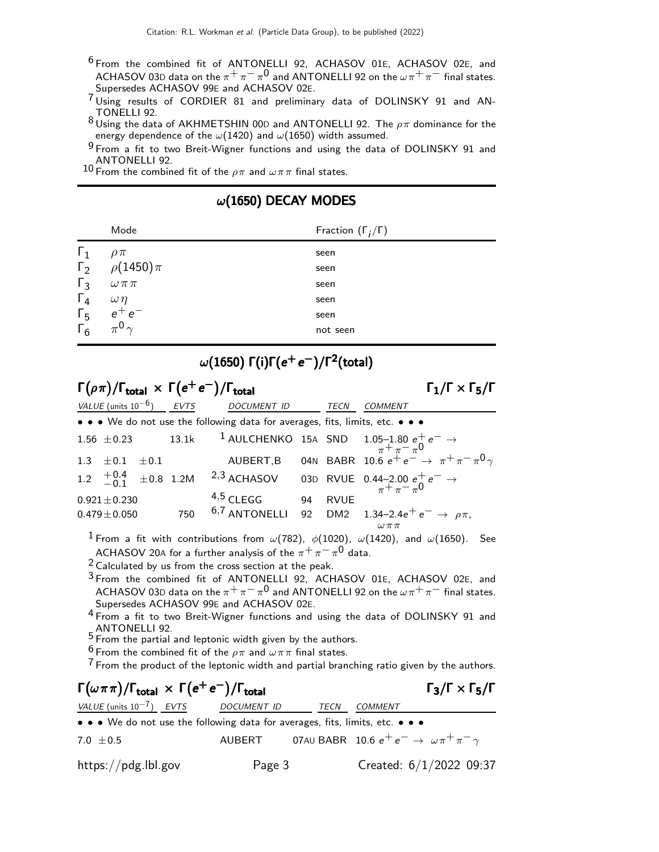- 6 From the combined fit of ANTONELLI 92, ACHASOV 01E, ACHASOV 02E, and ACHASOV 03D data on the  $\pi^+\pi^-\pi^0$  and ANTONELLI 92 on the  $\omega\pi^+\pi^-$  final states. Supersedes ACHASOV 99E and ACHASOV 02E.
- 7 Using results of CORDIER 81 and preliminary data of DOLINSKY 91 and AN-TONELLI 92.
- 8 Using the data of AKHMETSHIN 00D and ANTONELLI 92. The  $\rho \pi$  dominance for the energy dependence of the  $\omega(1420)$  and  $\omega(1650)$  width assumed.
- 9 From a fit to two Breit-Wigner functions and using the data of DOLINSKY 91 and ANTONELLI 92.

10 From the combined fit of the  $\rho \pi$  and  $\omega \pi \pi$  final states.

|            | Mode             | Fraction $(\Gamma_i/\Gamma)$ |
|------------|------------------|------------------------------|
| $\Gamma_1$ | $\rho \pi$       | seen                         |
| $\Gamma_2$ | $\rho(1450)\pi$  | seen                         |
| $\Gamma_3$ | $\omega \pi \pi$ | seen                         |
| $\Gamma_4$ | $\omega\eta$     | seen                         |
| $\Gamma_5$ | $e^+e^-$         | seen                         |
| $\Gamma_6$ | $0_{\gamma}$     | not seen                     |

### $\omega$ (1650) DECAY MODES

## $\omega(1650)$   $\mathsf{\Gamma}(\mathsf{i})\mathsf{\Gamma}(\mathsf{e}^+\mathsf{e}^-)/\mathsf{\Gamma}^2(\mathsf{total})$

| $\Gamma(\rho \pi)/\Gamma_{\text{total}} \times \Gamma(e^+e^-)/\Gamma_{\text{total}}$<br>$\Gamma_1/\Gamma \times \Gamma_5/\Gamma$ |  |     |                                                                               |    |             |                                                                                                                                                               |
|----------------------------------------------------------------------------------------------------------------------------------|--|-----|-------------------------------------------------------------------------------|----|-------------|---------------------------------------------------------------------------------------------------------------------------------------------------------------|
| VALUE (units $10^{-6}$ ) EVTS                                                                                                    |  |     | <b>DOCUMENT ID</b>                                                            |    | <b>TECN</b> | <b>COMMENT</b>                                                                                                                                                |
|                                                                                                                                  |  |     | • • • We do not use the following data for averages, fits, limits, etc. • • • |    |             |                                                                                                                                                               |
| $1.56 \pm 0.23$                                                                                                                  |  |     |                                                                               |    |             |                                                                                                                                                               |
| 1.3 $\pm$ 0.1 $\pm$ 0.1                                                                                                          |  |     |                                                                               |    |             | 13.1k <sup>1</sup> AULCHENKO 15A SND 1.05-1.80 $e^+e^- \rightarrow \pi^+ \pi^- \pi^0$<br>AUBERT,B 04N BABR 10.6 $e^+e^- \rightarrow \pi^+ \pi^- \pi^0 \gamma$ |
|                                                                                                                                  |  |     | 1.2 $\frac{+0.4}{-0.1}$ $\pm 0.8$ 1.2M <sup>2,3</sup> ACHASOV                 |    |             | 03D RVUE 0.44-2.00 $e^+e^- \rightarrow \pi^+\pi^-\pi^0$                                                                                                       |
| $0.921 \pm 0.230$                                                                                                                |  |     | $4,5$ CLEGG                                                                   | 94 | <b>RVUE</b> |                                                                                                                                                               |
| $0.479\pm0.050$                                                                                                                  |  | 750 |                                                                               |    |             | 6,7 ANTONELLI 92 DM2 1.34-2.4 $e^+e^- \rightarrow \rho \pi$ ,                                                                                                 |
|                                                                                                                                  |  |     |                                                                               |    |             | $\omega\,\pi\,\pi$                                                                                                                                            |

<sup>1</sup> From a fit with contributions from  $\omega(782)$ ,  $\phi(1020)$ ,  $\omega(1420)$ , and  $\omega(1650)$ . See ACHASOV 20A for a further analysis of the  $\pi^+\,\pi^-\,\pi^0$  data.

 $2$  Calculated by us from the cross section at the peak.

 $3$  From the combined fit of ANTONELLI 92, ACHASOV 01E, ACHASOV 02E, and ACHASOV 03D data on the  $\pi^+\pi^-\pi^0$  and ANTONELLI 92 on the  $\omega\pi^+\pi^-$  final states. Supersedes ACHASOV 99E and ACHASOV 02E.

4 From a fit to two Breit-Wigner functions and using the data of DOLINSKY 91 and <code>ANTONELLI</code> 92.  $5$  From the partial and leptonic width given by the authors.

- 
- <sup>6</sup> From the combined fit of the  $\rho \pi$  and  $\omega \pi \pi$  final states.

<sup>7</sup> From the product of the leptonic width and partial branching ratio given by the authors.

# $\Gamma(\omega \pi \pi)/\Gamma_{\rm total} \times \Gamma(e^+e^-)/\Gamma_{\rm total}$  Γ<sub>3</sub>/Γ  $\times$  Γ<sub>5</sub>/Γ

 $\Gamma_3/\Gamma \times \Gamma_5/\Gamma$ 

| VALUE (units $10^{-7}$ ) EVTS | <i>DOCUMENT ID</i>                                                                                                    | <i>TECN COMMENT</i>                                           |  |
|-------------------------------|-----------------------------------------------------------------------------------------------------------------------|---------------------------------------------------------------|--|
|                               | $\bullet \bullet \bullet$ We do not use the following data for averages, fits, limits, etc. $\bullet \bullet \bullet$ |                                                               |  |
| $7.0 \pm 0.5$                 | AUBERT                                                                                                                | 07AU BABR 10.6 $e^+e^- \rightarrow \omega \pi^+ \pi^- \gamma$ |  |

https://pdg.lbl.gov Page 3 Created: 6/1/2022 09:37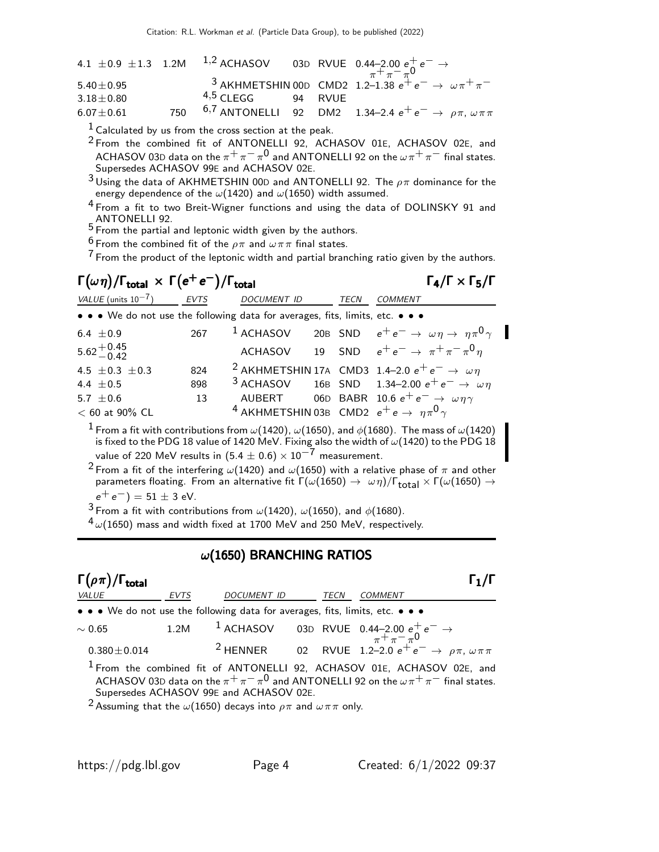|                 |                     |  | 4.1 ± 0.9 ± 1.3 1.2M <sup>1,2</sup> ACHASOV 03D RVUE 0.44-2.00 $e^+e^- \rightarrow$<br>$\pi^+\pi^-\pi^0$ |
|-----------------|---------------------|--|----------------------------------------------------------------------------------------------------------|
| $5.40 \pm 0.95$ |                     |  | <sup>3</sup> AKHMETSHIN 00D CMD2 1.2-1.38 $e^+e^- \rightarrow \omega \pi^+ \pi^-$                        |
| $3.18 \pm 0.80$ | $4,5$ CLEGG 94 RVUE |  |                                                                                                          |
| $6.07 \pm 0.61$ |                     |  | 750 $6.7$ ANTONELLI 92 DM2 1.34-2.4 $e^+e^- \rightarrow \rho \pi, \omega \pi \pi$                        |

 $1$  Calculated by us from the cross section at the peak.

<sup>2</sup> From the combined fit of ANTONELLI 92, ACHASOV 01E, ACHASOV 02E, and ACHASOV 03D data on the  $\pi^+\pi^-\pi^0$  and ANTONELLI 92 on the  $\omega\pi^+\pi^-$  final states. Supersedes ACHASOV 99E and ACHASOV 02E.

 $^3$ Using the data of AKHMETSHIN 00D and ANTONELLI 92. The  $\rho\pi$  dominance for the energy dependence of the  $\omega(1420)$  and  $\omega(1650)$  width assumed.

<sup>4</sup> From a fit to two Breit-Wigner functions and using the data of DOLINSKY 91 and <code>ANTONELLI</code> 92. ANTONELLI 92. ANTONELLI 92.

<sup>6</sup> From the combined fit of the  $\rho \pi$  and  $\omega \pi \pi$  final states.

 $7$  From the product of the leptonic width and partial branching ratio given by the authors.

# $\Gamma(\omega \eta)/\Gamma_{\rm total} \times \Gamma(e^+e^-)/\Gamma_{\rm total}$  Γ<sub>4</sub>/Γ  $\times$  Γ<sub>5</sub>/Γ

 $\Gamma_4/\Gamma \times \Gamma_5/\Gamma$ 

| VALUE (units $10^{-7}$ )                                                                                                                                                                                                   | <b>EVTS</b> | DOCUMENT ID                                                           |  | TECN | COMMENT                                                                                                               |
|----------------------------------------------------------------------------------------------------------------------------------------------------------------------------------------------------------------------------|-------------|-----------------------------------------------------------------------|--|------|-----------------------------------------------------------------------------------------------------------------------|
| • • • We do not use the following data for averages, fits, limits, etc. • • •                                                                                                                                              |             |                                                                       |  |      |                                                                                                                       |
| 6.4 $\pm$ 0.9                                                                                                                                                                                                              | 267         | $1$ ACHASOV                                                           |  |      | 20B SND $e^+e^- \rightarrow \omega \eta \rightarrow \eta \pi^0 \gamma$                                                |
| $5.62^{+0.45}_{-0.42}$                                                                                                                                                                                                     |             |                                                                       |  |      | ACHASOV 19 SND $e^+e^- \rightarrow \pi^+\pi^-\pi^0\eta$                                                               |
| 4.5 $\pm$ 0.3 $\pm$ 0.3                                                                                                                                                                                                    | 824         |                                                                       |  |      | <sup>2</sup> AKHMETSHIN 17A CMD3 1.4-2.0 $e^+e^- \rightarrow \omega \eta$                                             |
| 4.4 $\pm$ 0.5                                                                                                                                                                                                              | 898         |                                                                       |  |      | <sup>3</sup> ACHASOV 16B SND 1.34-2.00 $e^+e^- \rightarrow \omega \eta$                                               |
| 5.7 $\pm$ 0.6                                                                                                                                                                                                              | 13          |                                                                       |  |      | AUBERT 06D BABR 10.6 $e^+e^- \rightarrow \omega \eta \gamma$                                                          |
| $< 60$ at 90% CL                                                                                                                                                                                                           |             | <sup>4</sup> AKHMETSHIN 03B CMD2 $e^+e \rightarrow \eta \pi^0 \gamma$ |  |      |                                                                                                                       |
| $^1$ From a fit with contributions from $\omega(1420)$ , $\omega(1650)$ , and $\phi(1680)$ . The mass of $\omega(1420)$<br>is fixed to the PDG 18 value of 1420 MeV. Fixing also the width of $\omega(1420)$ to the PDG 18 |             |                                                                       |  |      |                                                                                                                       |
| value of 220 MeV results in $(5.4 \pm 0.6) \times 10^{-7}$ measurement.                                                                                                                                                    |             |                                                                       |  |      |                                                                                                                       |
|                                                                                                                                                                                                                            |             |                                                                       |  |      | <sup>2</sup> From a fit of the interfering $\omega(1420)$ and $\omega(1650)$ with a relative phase of $\pi$ and other |

parameters floating. From an alternative fit  $\Gamma(\omega(1650)\to~\omega\eta)/\Gamma_{\rm total}\times \Gamma(\omega(1650)\to~$  $e^+e^-$ ) = 51  $\pm$  3 eV.

3 From a fit with contributions from  $\omega(1420)$ ,  $\omega(1650)$ , and  $\phi(1680)$ .

 $4\omega(1650)$  mass and width fixed at 1700 MeV and 250 MeV, respectively.

### $\omega(1650)$  BRANCHING RATIOS

| $\Gamma(\rho \pi)/\Gamma_{\rm total}$                                         |             |                                         |             |                                                                                                                                                                                                                      |
|-------------------------------------------------------------------------------|-------------|-----------------------------------------|-------------|----------------------------------------------------------------------------------------------------------------------------------------------------------------------------------------------------------------------|
| <i>VALUE</i>                                                                  | <b>EVTS</b> | DOCUMENT ID                             | <b>TECN</b> | <b>COMMENT</b>                                                                                                                                                                                                       |
| • • • We do not use the following data for averages, fits, limits, etc. • • • |             |                                         |             |                                                                                                                                                                                                                      |
| $\sim 0.65$                                                                   |             |                                         |             | 1.2M 1 ACHASOV 03D RVUE 0.44-2.00 $e^+e^- \rightarrow$<br><sup>7</sup> <sup><math>\pi^+ \pi^- \pi^0</math><br/> <sup>2</sup> HENNER 02 RVUE 1.2-2.0 <math>e^+e^- \rightarrow \rho \pi, \ \omega \pi \pi</math></sup> |
| $0.380 \pm 0.014$                                                             |             |                                         |             |                                                                                                                                                                                                                      |
|                                                                               |             | Supersedes ACHASOV 99E and ACHASOV 02E. |             | <sup>1</sup> From the combined fit of ANTONELLI 92, ACHASOV 01E, ACHASOV 02E, and<br>ACHASOV 03D data on the $\pi^{+}\pi^{-}\pi^{0}$ and ANTONELLI 92 on the $\omega\pi^{+}\pi^{-}$ final states.                    |

Assuming that the  $\omega(1650)$  decays into  $\rho\pi$  and  $\omega\pi\pi$  only.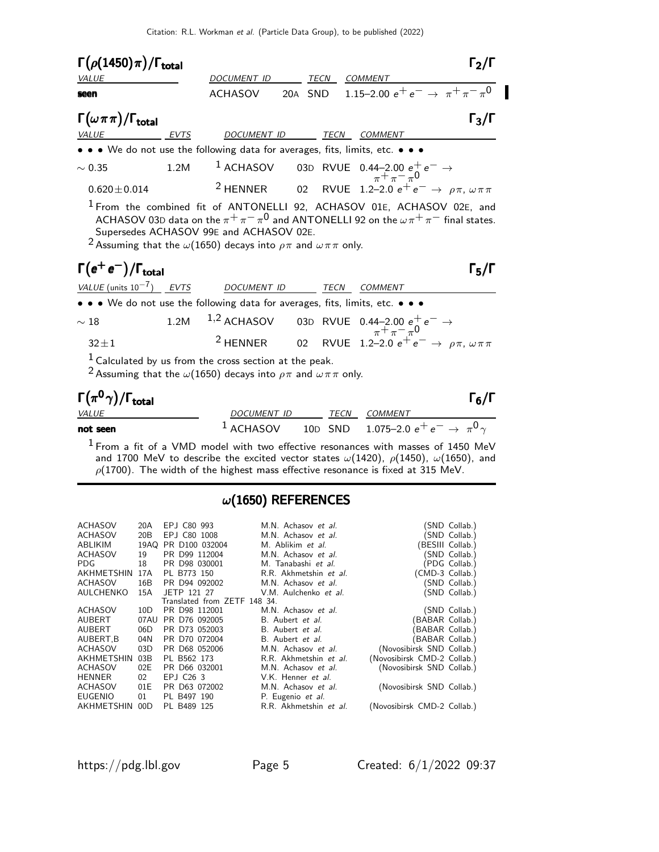| $\Gamma(\rho(1450)\pi)/\Gamma_{\rm total}$                                                                                                                                                                                                                                                                                                                                                        |      |                |  |             | $\Gamma_2/\Gamma$                                                                                                                                                              |  |
|---------------------------------------------------------------------------------------------------------------------------------------------------------------------------------------------------------------------------------------------------------------------------------------------------------------------------------------------------------------------------------------------------|------|----------------|--|-------------|--------------------------------------------------------------------------------------------------------------------------------------------------------------------------------|--|
| <b>VALUE</b>                                                                                                                                                                                                                                                                                                                                                                                      |      | DOCUMENT ID    |  | TECN        | COMMENT                                                                                                                                                                        |  |
| seen                                                                                                                                                                                                                                                                                                                                                                                              |      | <b>ACHASOV</b> |  |             | 20A SND 1.15-2.00 $e^+e^- \rightarrow \pi^+\pi^-\pi^0$                                                                                                                         |  |
| $\Gamma(\omega \pi \pi)/\Gamma_{\rm total}$                                                                                                                                                                                                                                                                                                                                                       |      |                |  |             | $\Gamma_3/\Gamma$                                                                                                                                                              |  |
| EVTS<br>VALUE                                                                                                                                                                                                                                                                                                                                                                                     |      | DOCUMENT ID    |  |             | TECN COMMENT                                                                                                                                                                   |  |
| • • • We do not use the following data for averages, fits, limits, etc. • • •                                                                                                                                                                                                                                                                                                                     |      |                |  |             |                                                                                                                                                                                |  |
| $\sim 0.35$                                                                                                                                                                                                                                                                                                                                                                                       | 1.2M |                |  |             | 1 ACHASOV 03D RVUE 0.44-2.00 $e^+e^- \rightarrow$                                                                                                                              |  |
| $0.620 \pm 0.014$                                                                                                                                                                                                                                                                                                                                                                                 |      |                |  |             | <sup>2</sup> HENNER 02 RVUE 1.2-2.0 $e^+e^- \rightarrow \rho \pi, \omega \pi \pi$                                                                                              |  |
| <sup>1</sup> From the combined fit of ANTONELLI 92, ACHASOV 01E, ACHASOV 02E, and<br>ACHASOV 03D data on the $\pi^+\pi^-\pi^0$ and ANTONELLI 92 on the $\omega\pi^+\pi^-$ final states.<br>Supersedes ACHASOV 99E and ACHASOV 02E.<br><sup>2</sup> Assuming that the $\omega(1650)$ decays into $\rho\pi$ and $\omega\pi\pi$ only.<br>$\Gamma(e^+e^-)/\Gamma_{\text{total}}$<br>$\Gamma_5/\Gamma$ |      |                |  |             |                                                                                                                                                                                |  |
| VALUE (units $10^{-7}$ ) EVTS                                                                                                                                                                                                                                                                                                                                                                     |      | DOCUMENT ID    |  | <b>TECN</b> | <b>COMMENT</b>                                                                                                                                                                 |  |
| • • • We do not use the following data for averages, fits, limits, etc. • • •                                                                                                                                                                                                                                                                                                                     |      |                |  |             |                                                                                                                                                                                |  |
| $\sim18$                                                                                                                                                                                                                                                                                                                                                                                          | 1.2M |                |  |             | 1,2 ACHASOV 03D RVUE 0.44-2.00 $e^+e^- \rightarrow$<br>2 HENNER 02 RVUE 1.2-2.0 $e^+e^- \rightarrow$<br>2 HENNER 02 RVUE 1.2-2.0 $e^+e^- \rightarrow \rho \pi, \omega \pi \pi$ |  |
| $32 \pm 1$                                                                                                                                                                                                                                                                                                                                                                                        |      |                |  |             |                                                                                                                                                                                |  |
| $1$ Calculated by us from the cross section at the peak.<br><sup>2</sup> Assuming that the $\omega(1650)$ decays into $\rho\pi$ and $\omega\pi\pi$ only.                                                                                                                                                                                                                                          |      |                |  |             |                                                                                                                                                                                |  |
| $\Gamma(\pi^0\gamma)/\Gamma_{\rm total}$                                                                                                                                                                                                                                                                                                                                                          |      |                |  |             | $\Gamma_6/\Gamma$                                                                                                                                                              |  |
| VALUE                                                                                                                                                                                                                                                                                                                                                                                             |      | DOCUMENT ID    |  | TECN        | <b>COMMENT</b>                                                                                                                                                                 |  |

not seen the set of  $1$  ACHASOV to  $10$ dd snd to  $1.075$ –2.0  $e^+$   $e^ \rightarrow \pi^0 \gamma$ 

 $1$  From a fit of a VMD model with two effective resonances with masses of 1450 MeV and 1700 MeV to describe the excited vector states  $\omega(1420)$ ,  $\rho(1450)$ ,  $\omega(1650)$ , and  $\rho(1700)$ . The width of the highest mass effective resonance is fixed at 315 MeV.

### $\omega$ (1650) REFERENCES

| <b>ACHASOV</b><br><b>ACHASOV</b><br>ABLIKIM<br><b>ACHASOV</b><br>PDG.<br>AKHMETSHIN<br><b>ACHASOV</b> | 20A<br>20B<br>19AQ<br>19<br>18<br>17A<br>16B | EPJ C80 993<br>EP.I C80 1008<br>PR D100 032004<br>PR D99 112004<br>PR D98 030001<br>PL B773 150<br>PR D94 092002 | M.N. Achasov et al.<br>M.N. Achasov et al.<br>M. Ablikim et al.<br>M.N. Achasov et al.<br>M. Tanabashi et al.<br>R.R. Akhmetshin et al.<br>M.N. Achasov et al. | (CMD-3 Collab.)             | (SND Collab.)<br>(SND Collab.)<br>(BESIII Collab.)<br>(SND Collab.)<br>(PDG Collab.)<br>(SND Collab.) |
|-------------------------------------------------------------------------------------------------------|----------------------------------------------|------------------------------------------------------------------------------------------------------------------|----------------------------------------------------------------------------------------------------------------------------------------------------------------|-----------------------------|-------------------------------------------------------------------------------------------------------|
| AULCHENKO                                                                                             | 15A                                          | JETP 121 27                                                                                                      | V.M. Aulchenko et al.                                                                                                                                          |                             | (SND Collab.)                                                                                         |
|                                                                                                       |                                              | Translated from ZETF 148 34.                                                                                     |                                                                                                                                                                |                             |                                                                                                       |
| <b>ACHASOV</b>                                                                                        | 10D                                          | PR D98 112001                                                                                                    | M.N. Achasov et al.                                                                                                                                            |                             | (SND Collab.)                                                                                         |
| <b>AUBERT</b>                                                                                         | 07AU                                         | PR D76 092005                                                                                                    | B. Aubert <i>et al.</i>                                                                                                                                        | (BABAR Collab.)             |                                                                                                       |
| <b>AUBERT</b>                                                                                         | 06D                                          | PR D73 052003                                                                                                    | B. Aubert et al.                                                                                                                                               | BABAR Collab.)              |                                                                                                       |
| AUBERT, B                                                                                             | 04N                                          | PR D70 072004                                                                                                    | B. Aubert et al.                                                                                                                                               | BABAR Collab.)              |                                                                                                       |
| ACHASOV                                                                                               | 03D                                          | PR D68 052006                                                                                                    | M.N. Achasov et al.                                                                                                                                            | (Novosibirsk SND Collab.)   |                                                                                                       |
| <b>AKHMETSHIN</b>                                                                                     | 03B                                          | PL B562 173                                                                                                      | R.R. Akhmetshin et al.                                                                                                                                         | (Novosibirsk CMD-2 Collab.) |                                                                                                       |
| <b>ACHASOV</b>                                                                                        | 02E                                          | PR D66 032001                                                                                                    | M.N. Achasov et al.                                                                                                                                            | (Novosibirsk SND Collab.)   |                                                                                                       |
| <b>HENNER</b>                                                                                         | 02                                           | EPJ C26 3                                                                                                        | V.K. Henner et al.                                                                                                                                             |                             |                                                                                                       |
| ACHASOV                                                                                               | 01E                                          | PR D63 072002                                                                                                    | M.N. Achasov et al.                                                                                                                                            | (Novosibirsk SND Collab.)   |                                                                                                       |
| <b>EUGENIO</b>                                                                                        | 01                                           | PL B497 190                                                                                                      | P. Eugenio et al.                                                                                                                                              |                             |                                                                                                       |
| <b>AKHMETSHIN</b>                                                                                     | 00D                                          | PL B489 125                                                                                                      | R.R. Akhmetshin et al.                                                                                                                                         | (Novosibirsk CMD-2 Collab.) |                                                                                                       |